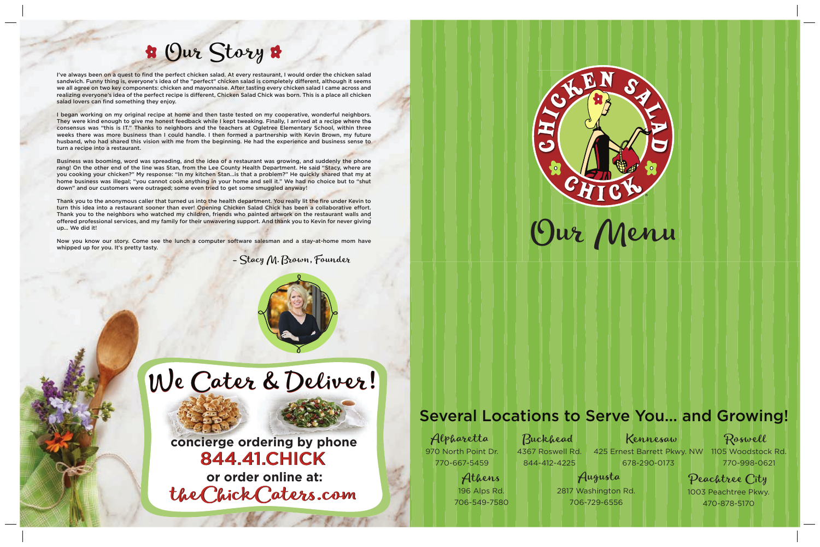1003 Peachtree Pkwy. 1003 Peachtree Pkwy. 1003 Peachtree Pkwy. 470-878-5170 470-878-5170 470-878-5170 Peachtree City Peachtree City Peachtree City 770-667-5459 844-412-4225 678-290-0173 770-998-06<br>Athens 196 Alps Rd. 2817 Washington Rd. 706-549-7580 706-729-6556 1706-878-5170

## Our Story Our Story

- Stacy M. Brown, Founder - Stacy M. Brown, Founder - Stacy M. Brown, Founder





I've always been on a quest to find the perfect chicken salad. At every restaurant, I would order the chicken salad sandwich. Funny thing is, everyone's idea of the "perfect" chicken salad is completely different, although it seems we all agree on two key components: chicken and mayonnaise. After tasting every chicken salad I came across and realizing everyone's idea of the perfect recipe is different, Chicken Salad Chick was born. This is a place all chicken salad lovers can find something they enjoy. salad lovers can find something they enjoy. salad lovers can find something they enjoy.

I began working on my original recipe at home and then taste tested on my cooperative, wonderful neighbors. They were kind enough to give me honest feedback while I kept tweaking. Finally, I arrived at a recipe where the consensus was "this is IT." Thanks to neighbors and the teachers at Ogletree Elementary School, within three weeks there was more business than I could handle. I then formed a partnership with Kevin Brown, my future husband, who had shared this vision with me from the beginning. He had the experience and business sense to turn a recipe into a restaurant. turn a recipe into a restaurant. turn a recipe into a restaurant. I've always been on a quest to find the perfect chicken salad. At every restaurant, I would order the chicken salad<br>sandwich. Funny thing is, everyone's idea of the "perfect" chicken salad is completely different, althoug **Store of the Control Control Control Control Control Control Control Control Control Control Control Control Control Control Control Control Control Control Control Control Control Control Control Control Control Control** 

Business was booming, word was spreading, and the idea of a restaurant was growing, and suddenly the phone rang! On the other end of the line was Stan, from the Lee County Health Department. He said "Stacy, where are you cooking your chicken?" My response: "In my kitchen Stan...is that a problem?" He quickly shared that my at home business was illegal; "you cannot cook anything in your home and sell it." We had no choice but to "shut down" and our customers were outraged; some even tried to get some smuggled anyway!

Thank you to the anonymous caller that turned us into the health department. You really lit the fire under Kevin to turn this idea into a restaurant sooner than ever! Opening Chicken Salad Chick has been a collaborative effort. Thank you to the neighbors who watched my children, friends who painted artwork on the restaurant walls and offered professional services, and my family for their unwavering support. And thank you to Kevin for never giving up… We did it! up… We did it! up… We did it! Thank you to the anonymous caller that turned us into the health department. You really lit the fire under Kevin to<br>turn this idea into a restaurant sooner than ever! Opening Chicken Salad Chick has been a collaborative ef offered professional services, and my family for their unwavering support. And thank you to Kevin for never giving

Now you know our story. Come see the lunch a computer software salesman and a stay-at-home mom have whipped up for you. It's pretty tasty. whipped up for you. It's pretty tasty. whipped up for you. It's pretty tasty.

> 425 Ernest Barrett Pkwy. NW 1105 Woodstock Rd. 678-290-0173 678-290-0173 678-290-0173 Buckhead Kennesaw Buckhead Kennesaw Buckhead Kennesaw

## Several Locations to Serve You... and Growing!<br> **ONLINE Although Alpharetta**<br> **Several Locations to Serve You... and Growing!**<br> **ONLINE Although Alpharetta**<br> **Several Locations to Serve You... and Growing!**<br> **Property Alth concierge ordering by phone concierge ordering by phone concierge ordering by phone** 844.41.CHICK 844.41.CHICK 844.41.CHICK 844.41.CHICK 844.41.CHICK 844.41.CHICK

Athens Athens Athens 196 Alps Rd. 196 Alps Rd. 196 Alps Rd. 706-549-7580 706-549-7580 706-549-7580

Alpharetta Alpharetta Alpharetta 970 North Point Dr. 970 North Point Dr. 970 North Point Dr. 770-667-5459 770-667-5459 770-667-5459

770-998-0621 770-998-0621 770-998-0621 Roswell Roswell Roswell

## 4367 Roswell Rd. 4367 Roswell Rd. 4367 Roswell Rd.

844-412-4225 Rd.844-412-4225844-412-4225 844-412-4225

2817 Washington Rd. 2817 Washington Rd. 2817 Washington Rd. 706-729-6556 706-729-6556 706-729-6556 706-729-6556

Augusta Augusta Augusta

theChickCaters.com theChickCaters.com theChickCaters.com theChickCaters.com theChickCaters.com theChickCaters.com **or order online at: or order online at: or order online at:**

# We Cater & Deliver! We Cater & Deliver! We Cater & Deliver!